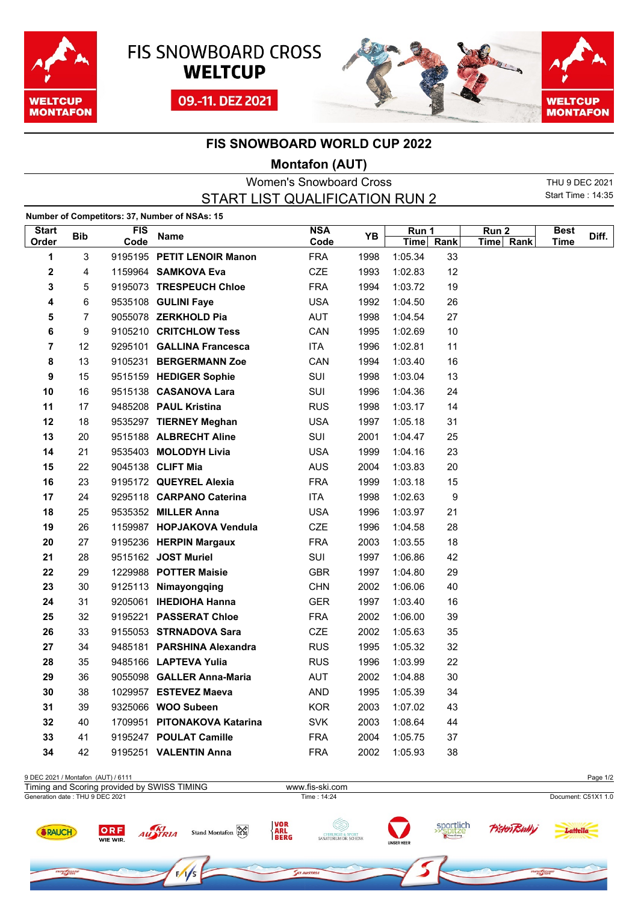





## **FIS SNOWBOARD WORLD CUP 2022**

## **Montafon (AUT)**

| Women's Snowboard Cross        |
|--------------------------------|
| START LIST QUALIFICATION RUN 2 |
|                                |

THU 9 DEC 2021 Start Time : 14:35

| Number of Competitors: 37, Number of NSAs: 15 |                |            |                             |            |      |                    |                  |                  |             |       |
|-----------------------------------------------|----------------|------------|-----------------------------|------------|------|--------------------|------------------|------------------|-------------|-------|
| <b>Start</b>                                  | <b>Bib</b>     | <b>FIS</b> | <b>Name</b>                 | <b>NSA</b> | YΒ   | Run 1<br>Time Rank |                  | Run <sub>2</sub> | <b>Best</b> | Diff. |
| Order                                         |                | Code       |                             | Code       |      |                    |                  | Time Rank        | Time        |       |
| 1                                             | 3              |            | 9195195 PETIT LENOIR Manon  | <b>FRA</b> | 1998 | 1:05.34            | 33               |                  |             |       |
| $\mathbf 2$                                   | 4              |            | 1159964 <b>SAMKOVA Eva</b>  | CZE        | 1993 | 1:02.83            | 12               |                  |             |       |
| 3                                             | 5              |            | 9195073 TRESPEUCH Chloe     | <b>FRA</b> | 1994 | 1:03.72            | 19               |                  |             |       |
| 4                                             | 6              |            | 9535108 GULINI Faye         | <b>USA</b> | 1992 | 1:04.50            | 26               |                  |             |       |
| 5                                             | $\overline{7}$ |            | 9055078 ZERKHOLD Pia        | <b>AUT</b> | 1998 | 1:04.54            | 27               |                  |             |       |
| 6                                             | 9              |            | 9105210 CRITCHLOW Tess      | CAN        | 1995 | 1:02.69            | 10               |                  |             |       |
| 7                                             | 12             |            | 9295101 GALLINA Francesca   | <b>ITA</b> | 1996 | 1:02.81            | 11               |                  |             |       |
| 8                                             | 13             |            | 9105231 BERGERMANN Zoe      | CAN        | 1994 | 1:03.40            | 16               |                  |             |       |
| 9                                             | 15             |            | 9515159 HEDIGER Sophie      | SUI        | 1998 | 1:03.04            | 13               |                  |             |       |
| 10                                            | 16             |            | 9515138 CASANOVA Lara       | SUI        | 1996 | 1:04.36            | 24               |                  |             |       |
| 11                                            | 17             |            | 9485208 PAUL Kristina       | <b>RUS</b> | 1998 | 1:03.17            | 14               |                  |             |       |
| 12                                            | 18             |            | 9535297 TIERNEY Meghan      | <b>USA</b> | 1997 | 1:05.18            | 31               |                  |             |       |
| 13                                            | 20             |            | 9515188 ALBRECHT Aline      | SUI        | 2001 | 1:04.47            | 25               |                  |             |       |
| 14                                            | 21             |            | 9535403 MOLODYH Livia       | <b>USA</b> | 1999 | 1:04.16            | 23               |                  |             |       |
| 15                                            | 22             |            | 9045138 CLIFT Mia           | <b>AUS</b> | 2004 | 1:03.83            | 20               |                  |             |       |
| 16                                            | 23             |            | 9195172 QUEYREL Alexia      | <b>FRA</b> | 1999 | 1:03.18            | 15               |                  |             |       |
| 17                                            | 24             |            | 9295118 CARPANO Caterina    | <b>ITA</b> | 1998 | 1:02.63            | $\boldsymbol{9}$ |                  |             |       |
| 18                                            | 25             |            | 9535352 MILLER Anna         | <b>USA</b> | 1996 | 1:03.97            | 21               |                  |             |       |
| 19                                            | 26             |            | 1159987 HOPJAKOVA Vendula   | <b>CZE</b> | 1996 | 1:04.58            | 28               |                  |             |       |
| 20                                            | 27             |            | 9195236 HERPIN Margaux      | <b>FRA</b> | 2003 | 1:03.55            | 18               |                  |             |       |
| 21                                            | 28             |            | 9515162 JOST Muriel         | SUI        | 1997 | 1:06.86            | 42               |                  |             |       |
| 22                                            | 29             |            | 1229988 POTTER Maisie       | <b>GBR</b> | 1997 | 1:04.80            | 29               |                  |             |       |
| 23                                            | 30             |            | 9125113 Nimayongqing        | <b>CHN</b> | 2002 | 1:06.06            | 40               |                  |             |       |
| 24                                            | 31             |            | 9205061 IHEDIOHA Hanna      | <b>GER</b> | 1997 | 1:03.40            | 16               |                  |             |       |
| 25                                            | 32             |            | 9195221 PASSERAT Chloe      | <b>FRA</b> | 2002 | 1:06.00            | 39               |                  |             |       |
| 26                                            | 33             |            | 9155053 STRNADOVA Sara      | <b>CZE</b> | 2002 | 1:05.63            | 35               |                  |             |       |
| 27                                            | 34             |            | 9485181 PARSHINA Alexandra  | <b>RUS</b> | 1995 | 1:05.32            | 32               |                  |             |       |
| 28                                            | 35             |            | 9485166 LAPTEVA Yulia       | <b>RUS</b> | 1996 | 1:03.99            | 22               |                  |             |       |
| 29                                            | 36             |            | 9055098 GALLER Anna-Maria   | <b>AUT</b> | 2002 | 1:04.88            | 30               |                  |             |       |
| 30                                            | 38             |            | 1029957 ESTEVEZ Maeva       | <b>AND</b> | 1995 | 1:05.39            | 34               |                  |             |       |
| 31                                            | 39             |            | 9325066 WOO Subeen          | <b>KOR</b> | 2003 | 1:07.02            | 43               |                  |             |       |
| 32                                            | 40             |            | 1709951 PITONAKOVA Katarina | <b>SVK</b> | 2003 | 1:08.64            | 44               |                  |             |       |
| 33                                            | 41             |            | 9195247 POULAT Camille      | <b>FRA</b> | 2004 | 1:05.75            | 37               |                  |             |       |
| 34                                            | 42             |            | 9195251 VALENTIN Anna       | <b>FRA</b> | 2002 | 1:05.93            | 38               |                  |             |       |
|                                               |                |            |                             |            |      |                    |                  |                  |             |       |